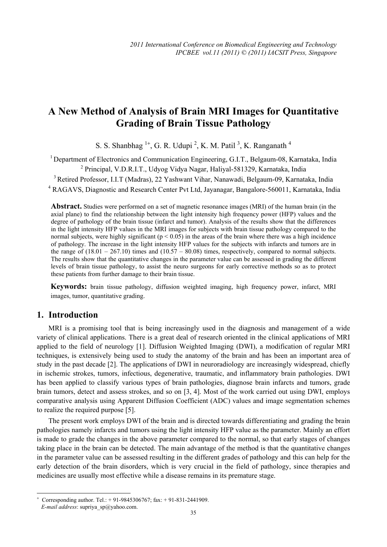# **A New Method of Analysis of Brain MRI Images for Quantitative Grading of Brain Tissue Pathology**

S. S. Shanbhag  $<sup>1+</sup>$ , G. R. Udupi <sup>2</sup>, K. M. Patil<sup>3</sup>, K. Ranganath<sup>4</sup></sup>

<sup>1</sup> Department of Electronics and Communication Engineering, G.I.T., Belgaum-08, Karnataka, India 2 Principal, V.D.R.I.T., Udyog Vidya Nagar, Haliyal-581329, Karnataka, India

<sup>3</sup> Retired Professor, I.I.T (Madras), 22 Yashwant Vihar, Nanawadi, Belgaum-09, Karnataka, India

<sup>4</sup> RAGAVS, Diagnostic and Research Center Pvt Ltd, Jayanagar, Bangalore-560011, Karnataka, India

**Abstract.** Studies were performed on a set of magnetic resonance images (MRI) of the human brain (in the axial plane) to find the relationship between the light intensity high frequency power (HFP) values and the degree of pathology of the brain tissue (infarct and tumor). Analysis of the results show that the differences in the light intensity HFP values in the MRI images for subjects with brain tissue pathology compared to the normal subjects, were highly significant ( $p < 0.05$ ) in the areas of the brain where there was a high incidence of pathology. The increase in the light intensity HFP values for the subjects with infarcts and tumors are in the range of  $(18.01 - 267.10)$  times and  $(10.57 - 80.08)$  times, respectively, compared to normal subjects. The results show that the quantitative changes in the parameter value can be assessed in grading the different levels of brain tissue pathology, to assist the neuro surgeons for early corrective methods so as to protect these patients from further damage to their brain tissue.

**Keywords:** brain tissue pathology, diffusion weighted imaging, high frequency power, infarct, MRI images, tumor, quantitative grading.

# **1. Introduction**

 $\overline{a}$ 

MRI is a promising tool that is being increasingly used in the diagnosis and management of a wide variety of clinical applications. There is a great deal of research oriented in the clinical applications of MRI applied to the field of neurology [1]. Diffusion Weighted Imaging (DWI), a modification of regular MRI techniques, is extensively being used to study the anatomy of the brain and has been an important area of study in the past decade [2]. The applications of DWI in neuroradiology are increasingly widespread, chiefly in ischemic strokes, tumors, infectious, degenerative, traumatic, and inflammatory brain pathologies. DWI has been applied to classify various types of brain pathologies, diagnose brain infarcts and tumors, grade brain tumors, detect and assess strokes, and so on [3, 4]. Most of the work carried out using DWI, employs comparative analysis using Apparent Diffusion Coefficient (ADC) values and image segmentation schemes to realize the required purpose [5].

The present work employs DWI of the brain and is directed towards differentiating and grading the brain pathologies namely infarcts and tumors using the light intensity HFP value as the parameter. Mainly an effort is made to grade the changes in the above parameter compared to the normal, so that early stages of changes taking place in the brain can be detected. The main advantage of the method is that the quantitative changes in the parameter value can be assessed resulting in the different grades of pathology and this can help for the early detection of the brain disorders, which is very crucial in the field of pathology, since therapies and medicines are usually most effective while a disease remains in its premature stage.

<sup>+</sup> Corresponding author. Tel.: + 91-9845306767; fax: + 91-831-2441909. *E-mail address*: supriya\_sp@yahoo.com.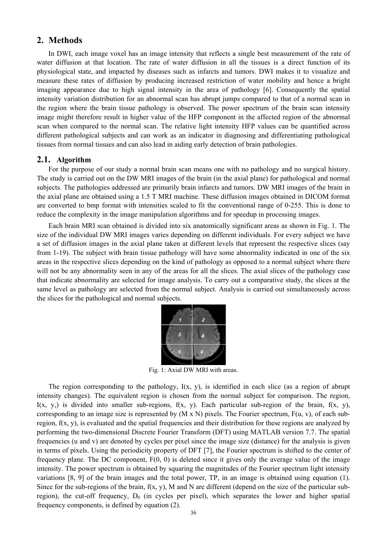# **2. Methods**

In DWI, each image voxel has an image intensity that reflects a single best measurement of the rate of water diffusion at that location. The rate of water diffusion in all the tissues is a direct function of its physiological state, and impacted by diseases such as infarcts and tumors. DWI makes it to visualize and measure these rates of diffusion by producing increased restriction of water mobility and hence a bright imaging appearance due to high signal intensity in the area of pathology [6]. Consequently the spatial intensity variation distribution for an abnormal scan has abrupt jumps compared to that of a normal scan in the region where the brain tissue pathology is observed. The power spectrum of the brain scan intensity image might therefore result in higher value of the HFP component in the affected region of the abnormal scan when compared to the normal scan. The relative light intensity HFP values can be quantified across different pathological subjects and can work as an indicator in diagnosing and differentiating pathological tissues from normal tissues and can also lead in aiding early detection of brain pathologies.

#### **2.1. Algorithm**

For the purpose of our study a normal brain scan means one with no pathology and no surgical history. The study is carried out on the DW MRI images of the brain (in the axial plane) for pathological and normal subjects. The pathologies addressed are primarily brain infarcts and tumors. DW MRI images of the brain in the axial plane are obtained using a 1.5 T MRI machine. These diffusion images obtained in DICOM format are converted to bmp format with intensities scaled to fit the conventional range of 0-255. This is done to reduce the complexity in the image manipulation algorithms and for speedup in processing images.

Each brain MRI scan obtained is divided into six anatomically significant areas as shown in Fig. 1. The size of the individual DW MRI images varies depending on different individuals. For every subject we have a set of diffusion images in the axial plane taken at different levels that represent the respective slices (say from 1-19). The subject with brain tissue pathology will have some abnormality indicated in one of the six areas in the respective slices depending on the kind of pathology as opposed to a normal subject where there will not be any abnormality seen in any of the areas for all the slices. The axial slices of the pathology case that indicate abnormality are selected for image analysis. To carry out a comparative study, the slices at the same level as pathology are selected from the normal subject. Analysis is carried out simultaneously across the slices for the pathological and normal subjects.



Fig. 1: Axial DW MRI with areas.

The region corresponding to the pathology, I(x, y), is identified in each slice (as a region of abrupt intensity changes). The equivalent region is chosen from the normal subject for comparison. The region, I(x, y,) is divided into smaller sub-regions,  $f(x, y)$ . Each particular sub-region of the brain,  $f(x, y)$ , corresponding to an image size is represented by  $(M \times N)$  pixels. The Fourier spectrum,  $F(u, v)$ , of each subregion,  $f(x, y)$ , is evaluated and the spatial frequencies and their distribution for these regions are analyzed by performing the two-dimensional Discrete Fourier Transform (DFT) using MATLAB version 7.7. The spatial frequencies (u and v) are denoted by cycles per pixel since the image size (distance) for the analysis is given in terms of pixels. Using the periodicity property of DFT [7], the Fourier spectrum is shifted to the center of frequency plane. The DC component, F(0, 0) is deleted since it gives only the average value of the image intensity. The power spectrum is obtained by squaring the magnitudes of the Fourier spectrum light intensity variations [8, 9] of the brain images and the total power, TP, in an image is obtained using equation (1). Since for the sub-regions of the brain,  $f(x, y)$ , M and N are different (depend on the size of the particular subregion), the cut-off frequency,  $D_0$  (in cycles per pixel), which separates the lower and higher spatial frequency components, is defined by equation (2).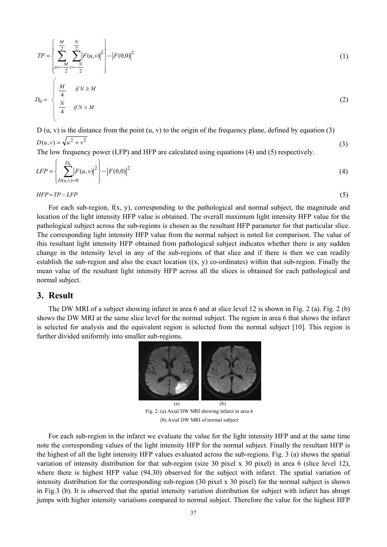$$
TP = \left\{ \sum_{u=-\frac{M}{2}}^{\frac{M}{2}} \sum_{v=-\frac{N}{2}}^{\frac{N}{2}} \left| F(u,v) \right|^2 \right\} - \left| F(0,0) \right|^2 \tag{1}
$$
  

$$
D_0 = \begin{cases} \frac{M}{4} & \text{if } N \ge M \\ \frac{N}{4} & \text{if } N < M \end{cases} \tag{2}
$$

 $D(u, v) = \sqrt{u^2 + v^2}$ D (u, v) is the distance from the point (u, v) to the origin of the frequency plane, defined by equation (3)

The low frequency power (LFP) and HFP are calculated using equations (4) and (5) respectively.

$$
LFP = \left\{ \sum_{D(u,v)=0}^{D_0} \left| F(u,v) \right|^2 \right\} - \left| F(0,0) \right|^2 \tag{4}
$$

(3)

*HFP* = *TP* − *LFP* (5)

For each sub-region, f(x, y), corresponding to the pathological and normal subject, the magnitude and location of the light intensity HFP value is obtained. The overall maximum light intensity HFP value for the pathological subject across the sub-regions is chosen as the resultant HFP parameter for that particular slice. The corresponding light intensity HFP value from the normal subject is noted for comparison. The value of this resultant light intensity HFP obtained from pathological subject indicates whether there is any sudden change in the intensity level in any of the sub-regions of that slice and if there is then we can readily establish the sub-region and also the exact location  $((x, y)$  co-ordinates) within that sub-region. Finally the mean value of the resultant light intensity HFP across all the slices is obtained for each pathological and normal subject.

# **3. Result**

The DW MRI of a subject showing infarct in area 6 and at slice level 12 is shown in Fig. 2 (a). Fig. 2 (b) shows the DW MRI at the same slice level for the normal subject. The region in area 6 that shows the infarct is selected for analysis and the equivalent region is selected from the normal subject [10]. This region is further divided uniformly into smaller sub-regions.



Fig. 2: (a) Axial DW MRI showing infarct in area 6 (b) Axial DW MRI of normal subject

For each sub-region in the infarct we evaluate the value for the light intensity HFP and at the same time note the corresponding values of the light intensity HFP for the normal subject. Finally the resultant HFP is the highest of all the light intensity HFP values evaluated across the sub-regions. Fig. 3 (a) shows the spatial variation of intensity distribution for that sub-region (size 30 pixel x 30 pixel) in area 6 (slice level 12), where there is highest HFP value (94.30) observed for the subject with infarct. The spatial variation of intensity distribution for the corresponding sub-region (30 pixel x 30 pixel) for the normal subject is shown in Fig.3 (b). It is observed that the spatial intensity variation distribution for subject with infarct has abrupt jumps with higher intensity variations compared to normal subject. Therefore the value for the highest HFP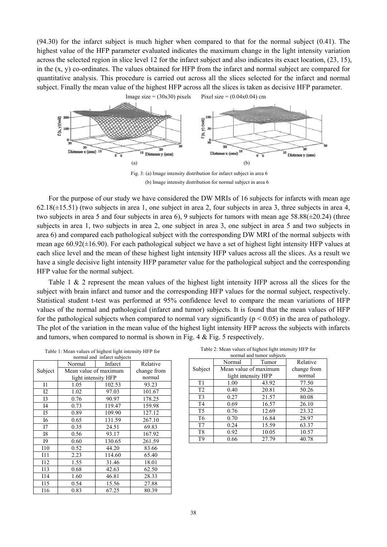(94.30) for the infarct subject is much higher when compared to that for the normal subject (0.41). The highest value of the HFP parameter evaluated indicates the maximum change in the light intensity variation across the selected region in slice level 12 for the infarct subject and also indicates its exact location, (23, 15), in the  $(x, y)$  co-ordinates. The values obtained for HFP from the infarct and normal subject are compared for quantitative analysis. This procedure is carried out across all the slices selected for the infarct and normal subject. Finally the mean value of the highest HFP across all the slices is taken as decisive HFP parameter.



(b) Image intensity distribution for normal subject in area 6

For the purpose of our study we have considered the DW MRIs of 16 subjects for infarcts with mean age  $62.18(\pm 15.51)$  (two subjects in area 1, one subject in area 2, four subjects in area 3, three subjects in area 4, two subjects in area 5 and four subjects in area 6), 9 subjects for tumors with mean age 58.88(±20.24) (three subjects in area 1, two subjects in area 2, one subject in area 3, one subject in area 5 and two subjects in area 6) and compared each pathological subject with the corresponding DW MRI of the normal subjects with mean age  $60.92(\pm 16.90)$ . For each pathological subject we have a set of highest light intensity HFP values at each slice level and the mean of these highest light intensity HFP values across all the slices. As a result we have a single decisive light intensity HFP parameter value for the pathological subject and the corresponding HFP value for the normal subject.

Table 1 & 2 represent the mean values of the highest light intensity HFP across all the slices for the subject with brain infarct and tumor and the corresponding HFP values for the normal subject, respectively. Statistical student t-test was performed at 95% confidence level to compare the mean variations of HFP values of the normal and pathological (infarct and tumor) subjects. It is found that the mean values of HFP for the pathological subjects when compared to normal vary significantly ( $p < 0.05$ ) in the area of pathology. The plot of the variation in the mean value of the highest light intensity HFP across the subjects with infarcts and tumors, when compared to normal is shown in Fig. 4 & Fig. 5 respectively.

Table 1: Mean values of highest light intensity HFP for

| normal and infarct subjects |                       |         |             |  |  |
|-----------------------------|-----------------------|---------|-------------|--|--|
| Subject                     | Normal                | Infarct | Relative    |  |  |
|                             | Mean value of maximum |         | change from |  |  |
|                             | light intensity HFP   |         | normal      |  |  |
| I <sub>1</sub>              | 1.05                  | 102.53  | 93.23       |  |  |
| 12                          | 1.02                  | 97.03   | 101.67      |  |  |
| I3                          | 0.76                  | 90.97   | 178.25      |  |  |
| I4                          | 0.73                  | 119.47  | 159.98      |  |  |
| I5                          | 0.89                  | 109.90  | 127.12      |  |  |
| I6                          | 0.65                  | 131.59  | 267.10      |  |  |
| I7                          | 0.35                  | 24.51   | 69.83       |  |  |
| I8                          | 0.56                  | 93.17   | 167.92      |  |  |
| I9                          | 0.60                  | 130.65  | 261.59      |  |  |
| I10                         | 0.52                  | 44.20   | 83.66       |  |  |
| I11                         | 2.23                  | 114.60  | 65.40       |  |  |
| I12                         | 1.55                  | 31.46   | 18.01       |  |  |
| 113                         | 0.68                  | 42.63   | 62.50       |  |  |
| I14                         | 1.60                  | 46.81   | 28.33       |  |  |
| I15                         | 0.54                  | 15.56   | 27.88       |  |  |
| 116                         | 0.83                  | 67.25   | 80.39       |  |  |

Table 2: Mean values of highest light intensity HFP for

| normal and tumor subjects |                       |       |             |  |  |
|---------------------------|-----------------------|-------|-------------|--|--|
|                           | Normal                | Tumor | Relative    |  |  |
| Subject                   | Mean value of maximum |       | change from |  |  |
|                           | light intensity HFP   |       | normal      |  |  |
| T1                        | 1.00                  | 43.92 | 77.50       |  |  |
| T <sub>2</sub>            | 0.40                  | 20.81 | 50.26       |  |  |
| T <sub>3</sub>            | 0.27                  | 21.57 | 80.08       |  |  |
| T <sub>4</sub>            | 0.69                  | 16.57 | 26.10       |  |  |
| T <sub>5</sub>            | 0.76                  | 12.69 | 23.32       |  |  |
| T <sub>6</sub>            | 0.70                  | 16.84 | 28.97       |  |  |
| T7                        | 0.24                  | 15.59 | 63.37       |  |  |
| T <sub>8</sub>            | 0.92                  | 10.05 | 10.57       |  |  |
| T <sub>9</sub>            | 0.66                  | 27.79 | 40.78       |  |  |